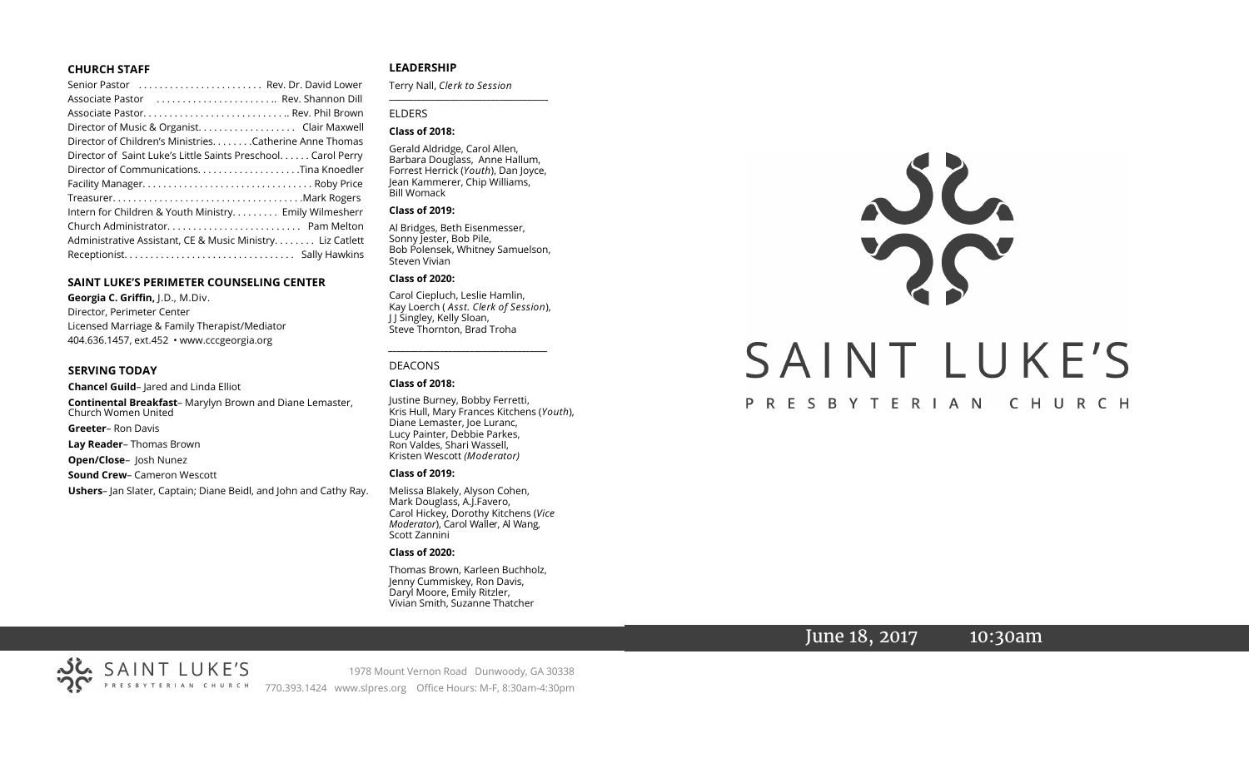# **CHURCH STAFF**

| Senior Pastor  Rev. Dr. David Lower                          |
|--------------------------------------------------------------|
| Associate Pastor  Rev. Shannon Dill                          |
|                                                              |
| Director of Music & Organist. Clair Maxwell                  |
| Director of Children's Ministries. Catherine Anne Thomas     |
| Director of Saint Luke's Little Saints Preschool Carol Perry |
|                                                              |
|                                                              |
|                                                              |
| Intern for Children & Youth Ministry Emily Wilmesherr        |
|                                                              |
| Administrative Assistant, CE & Music Ministry Liz Catlett    |
|                                                              |

# **SAINT LUKE'S PERIMETER COUNSELING CENTER**

**Georgia C. Griffin,** J.D., M.Div. Director, Perimeter Center Licensed Marriage & Family Therapist/Mediator 404.636.1457, ext.452 • www.cccgeorgia.org

# **SERVING TODAY**

**Chancel Guild**– Jared and Linda Elliot **Continental Breakfast**– Marylyn Brown and Diane Lemaster, Church Women United **Greeter**– Ron Davis

**Lay Reader**– Thomas Brown

**Open/Close**– Josh Nunez

**Sound Crew**– Cameron Wescott

**Ushers**– Jan Slater, Captain; Diane Beidl, and John and Cathy Ray.

# **LEADERSHIP**

Terry Nall, *Clerk to Session*  **\_\_\_\_\_\_\_\_\_\_\_\_\_\_\_\_\_\_\_\_\_\_\_\_\_\_\_\_\_\_\_\_\_\_\_\_\_\_\_**

# ELDERS

# **Class of 2018:**

Gerald Aldridge, Carol Allen, Barbara Douglass, Anne Hallum, Forrest Herrick (*Youth*), Dan Joyce, Jean Kammerer, Chip Williams, Bill Womack

# **Class of 2019:**

Al Bridges, Beth Eisenmesser, Sonny Jester, Bob Pile, Bob Polensek, Whitney Samuelson, Steven Vivian

# **Class of 2020:**

Carol Ciepluch, Leslie Hamlin, Kay Loerch ( *Asst. Clerk of Session*), J J Singley, Kelly Sloan, Steve Thornton, Brad Troha

*\_\_\_\_\_\_\_\_\_\_\_\_\_\_\_\_\_\_\_\_\_\_\_\_\_\_\_\_\_\_\_\_\_\_\_\_\_*

# DEACONS

#### **Class of 2018:**

Justine Burney, Bobby Ferretti, Kris Hull, Mary Frances Kitchens (*Youth*), Diane Lemaster, Joe Luranc, Lucy Painter, Debbie Parkes, Ron Valdes, Shari Wassell, Kristen Wescott *(Moderator)*

#### **Class of 2019:**

Melissa Blakely, Alyson Cohen, Mark Douglass, A.J.Favero, Carol Hickey, Dorothy Kitchens (*Vice Moderator*), Carol Waller, Al Wang, Scott Zannini

# **Class of 2020:**

Thomas Brown, Karleen Buchholz, Jenny Cummiskey, Ron Davis, Daryl Moore, Emily Ritzler, Vivian Smith, Suzanne Thatcher



# PRESBYTERIAN CHURCH

# June 18, 2017 10:30am



1978 Mount Vernon Road Dunwoody, GA 30338 770.393.1424 www.slpres.org Office Hours: M-F, 8:30am-4:30pm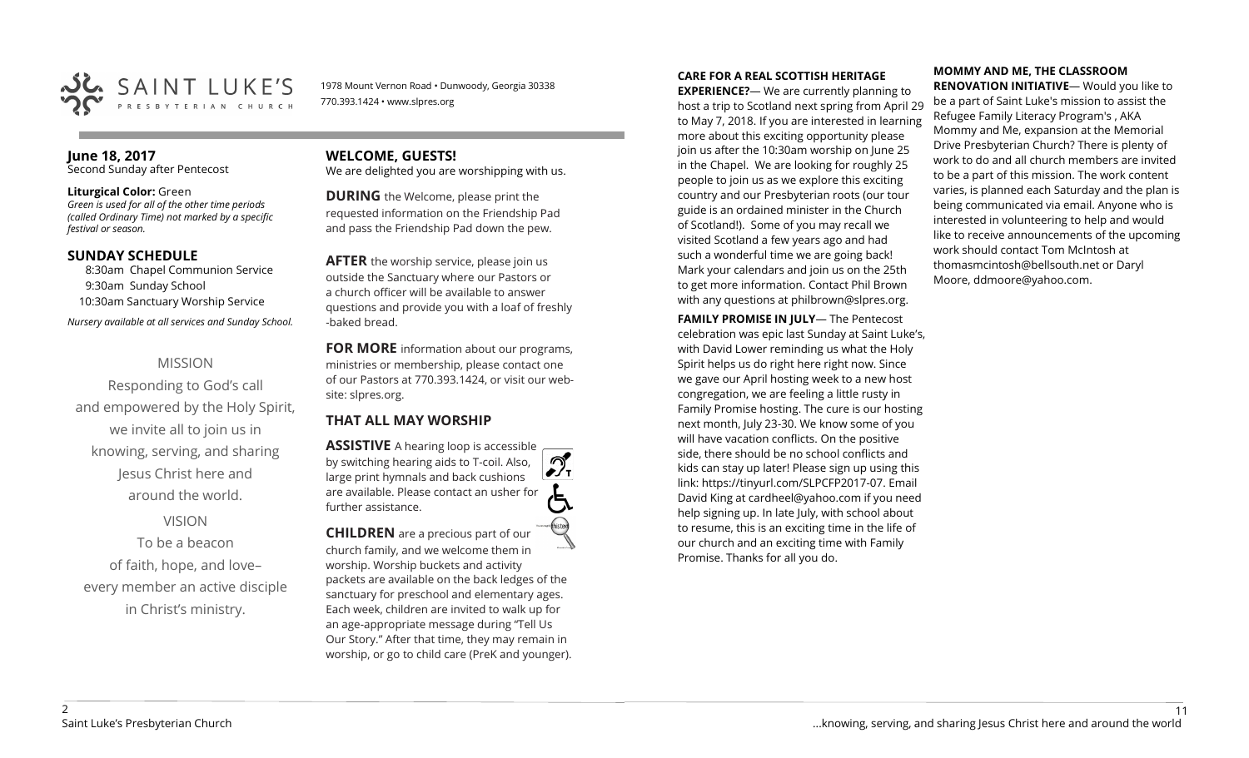

1978 Mount Vernon Road • Dunwoody, Georgia 30338 770.393.1424 • www.slpres.org

# **June 18, 2017**  Second Sunday after Pentecost

# **Liturgical Color:** Green

*Green is used for all of the other time periods (called Ordinary Time) not marked by a specific festival or season.*

# **SUNDAY SCHEDULE**

8:30am Chapel Communion Service 9:30am Sunday School 10:30am Sanctuary Worship Service *Nursery available at all services and Sunday School.* 

# MISSION

Responding to God's call and empowered by the Holy Spirit, we invite all to join us in knowing, serving, and sharing Jesus Christ here and around the world.

# VISION

To be a beacon of faith, hope, and love– every member an active disciple in Christ's ministry.

# **WELCOME, GUESTS!**  We are delighted you are worshipping with us.

**DURING** the Welcome, please print the requested information on the Friendship Pad and pass the Friendship Pad down the pew.

**AFTER** the worship service, please join us outside the Sanctuary where our Pastors or a church officer will be available to answer questions and provide you with a loaf of freshly -baked bread.

**FOR MORE** information about our programs, ministries or membership, please contact one of our Pastors at 770.393.1424, or visit our website: slpres.org.

# **THAT ALL MAY WORSHIP**

**ASSISTIVE** A hearing loop is accessible പ് by switching hearing aids to T-coil. Also,  $\frac{1}{\sqrt{1}}$ large print hymnals and back cushions are available. Please contact an usher for further assistance. **CHILDREN** are a precious part of our

church family, and we welcome them in worship. Worship buckets and activity packets are available on the back ledges of the sanctuary for preschool and elementary ages. Each week, children are invited to walk up for an age-appropriate message during "Tell Us Our Story." After that time, they may remain in worship, or go to child care (PreK and younger).

# **CARE FOR A REAL SCOTTISH HERITAGE**

**EXPERIENCE?**— We are currently planning to host a trip to Scotland next spring from April 29 to May 7, 2018. If you are interested in learning more about this exciting opportunity please join us after the 10:30am worship on June 25 in the Chapel. We are looking for roughly 25 people to join us as we explore this exciting country and our Presbyterian roots (our tour guide is an ordained minister in the Church of Scotland!). Some of you may recall we visited Scotland a few years ago and had such a wonderful time we are going back! Mark your calendars and join us on the 25th to get more information. Contact Phil Brown with any questions at philbrown@slpres.org.

**FAMILY PROMISE IN JULY**— The Pentecost celebration was epic last Sunday at Saint Luke's, with David Lower reminding us what the Holy Spirit helps us do right here right now. Since we gave our April hosting week to a new host congregation, we are feeling a little rusty in Family Promise hosting. The cure is our hosting next month, July 23-30. We know some of you will have vacation conflicts. On the positive side, there should be no school conflicts and kids can stay up later! Please sign up using this link: [https://tinyurl.com/SLPCFP2017](https://tinyurl.com/SLPCFP2017-07)-07. Email David King at cardheel@yahoo.com if you need help signing up. In late July, with school about to resume, this is an exciting time in the life of our church and an exciting time with Family Promise. Thanks for all you do.

# **MOMMY AND ME, THE CLASSROOM RENOVATION INITIATIVE**— Would you like to

be a part of Saint Luke's mission to assist the Refugee Family Literacy Program's , AKA Mommy and Me, expansion at the Memorial Drive Presbyterian Church? There is plenty of work to do and all church members are invited to be a part of this mission. The work content varies, is planned each Saturday and the plan is being communicated via email. Anyone who is interested in volunteering to help and would like to receive announcements of the upcoming work should contact Tom McIntosh at [thomasmcintosh@bellsouth.net](mailto:thomasmcintosh@bellsouth.net) or Daryl Moore, [ddmoore@yahoo.com.](mailto:ddmoore@yahoo.com)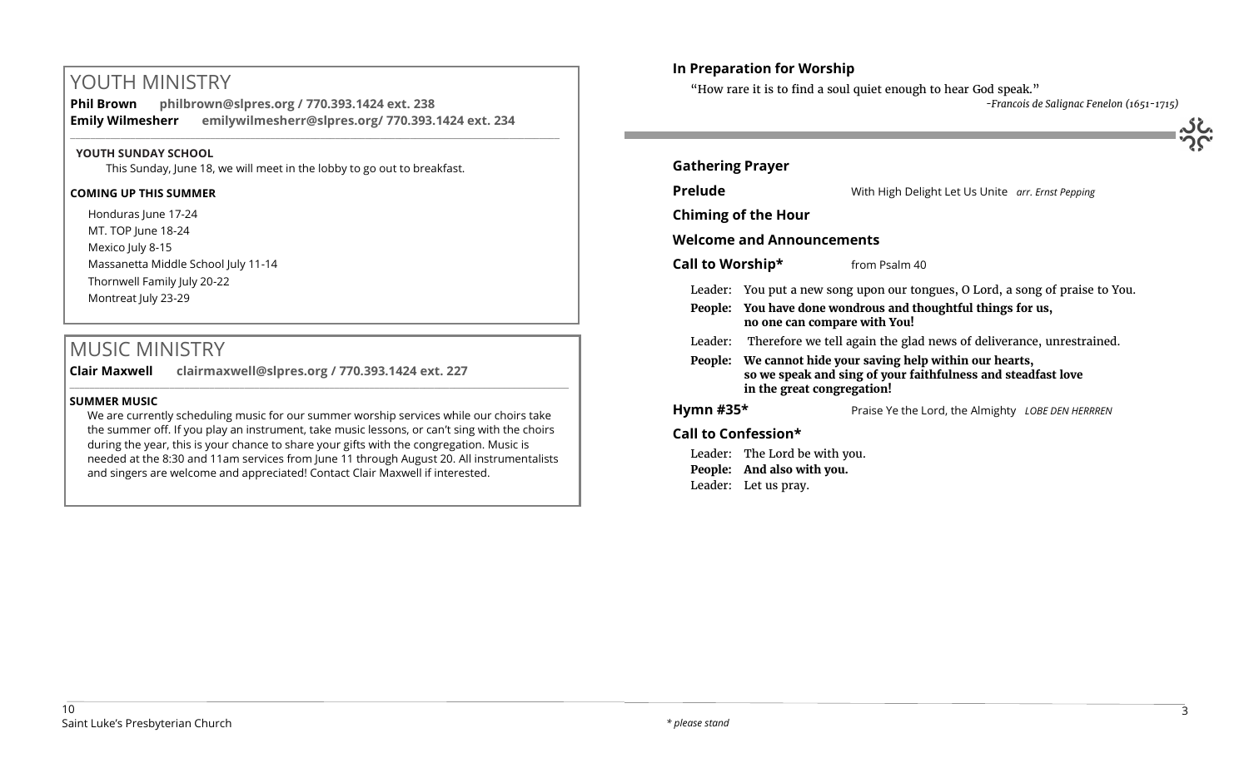# YOUTH MINISTRY

**Phil Brown philbrown@slpres.org / 770.393.1424 ext. 238 Emily Wilmesherr emilywilmesherr@slpres.org/ 770.393.1424 ext. 234**   $\_$  ,  $\_$  ,  $\_$  ,  $\_$  ,  $\_$  ,  $\_$  ,  $\_$  ,  $\_$  ,  $\_$  ,  $\_$  ,  $\_$  ,  $\_$  ,  $\_$  ,  $\_$  ,  $\_$  ,  $\_$  ,  $\_$  ,  $\_$  ,  $\_$  ,  $\_$ 

# **YOUTH SUNDAY SCHOOL**

This Sunday, June 18, we will meet in the lobby to go out to breakfast.

# **COMING UP THIS SUMMER**

Honduras lune 17-24 MT. TOP June 18-24 Mexico July 8-15 Massanetta Middle School July 11-14 Thornwell Family July 20-22 Montreat July 23-29

# MUSIC MINISTRY

**Clair Maxwell clairmaxwell@slpres.org / 770.393.1424 ext. 227** 

# **SUMMER MUSIC**

We are currently scheduling music for our summer worship services while our choirs take the summer off. If you play an instrument, take music lessons, or can't sing with the choirs during the year, this is your chance to share your gifts with the congregation. Music is needed at the 8:30 and 11am services from June 11 through August 20. All instrumentalists and singers are welcome and appreciated! Contact Clair Maxwell if interested.

 $\_$  ,  $\_$  ,  $\_$  ,  $\_$  ,  $\_$  ,  $\_$  ,  $\_$  ,  $\_$  ,  $\_$  ,  $\_$  ,  $\_$  ,  $\_$  ,  $\_$  ,  $\_$  ,  $\_$  ,  $\_$  ,  $\_$  ,  $\_$  ,  $\_$  ,  $\_$  ,  $\_$  ,  $\_$  ,  $\_$  ,  $\_$  ,  $\_$  ,  $\_$  ,  $\_$  ,  $\_$  ,  $\_$  ,  $\_$  ,  $\_$  ,  $\_$  ,  $\_$  ,  $\_$  ,  $\_$  ,  $\_$  ,  $\_$  ,

# **In Preparation for Worship**

Leader: Let us pray.

"How rare it is to find a soul quiet enough to hear God speak."

*-Francois de Salignac Fenelon (1651-1715)*

| <b>Gathering Prayer</b>          |                                                                                                                                                          |                                                   |  |
|----------------------------------|----------------------------------------------------------------------------------------------------------------------------------------------------------|---------------------------------------------------|--|
| <b>Prelude</b>                   |                                                                                                                                                          | With High Delight Let Us Unite arr. Ernst Pepping |  |
| <b>Chiming of the Hour</b>       |                                                                                                                                                          |                                                   |  |
| <b>Welcome and Announcements</b> |                                                                                                                                                          |                                                   |  |
| Call to Worship*                 |                                                                                                                                                          | from Psalm 40                                     |  |
|                                  | Leader: You put a new song upon our tongues, O Lord, a song of praise to You.                                                                            |                                                   |  |
|                                  | People: You have done wondrous and thoughtful things for us,<br>no one can compare with You!                                                             |                                                   |  |
|                                  | Leader: Therefore we tell again the glad news of deliverance, unrestrained.                                                                              |                                                   |  |
|                                  | People: We cannot hide your saving help within our hearts,<br>so we speak and sing of your faithfulness and steadfast love<br>in the great congregation! |                                                   |  |
| Hymn #35 $*$                     |                                                                                                                                                          | Praise Ye the Lord, the Almighty LOBE DEN HERRREN |  |
| Call to Confession*              |                                                                                                                                                          |                                                   |  |
|                                  | Leader: The Lord be with you.<br>People: And also with you.                                                                                              |                                                   |  |

10 Saint Luke's Presbyterian Church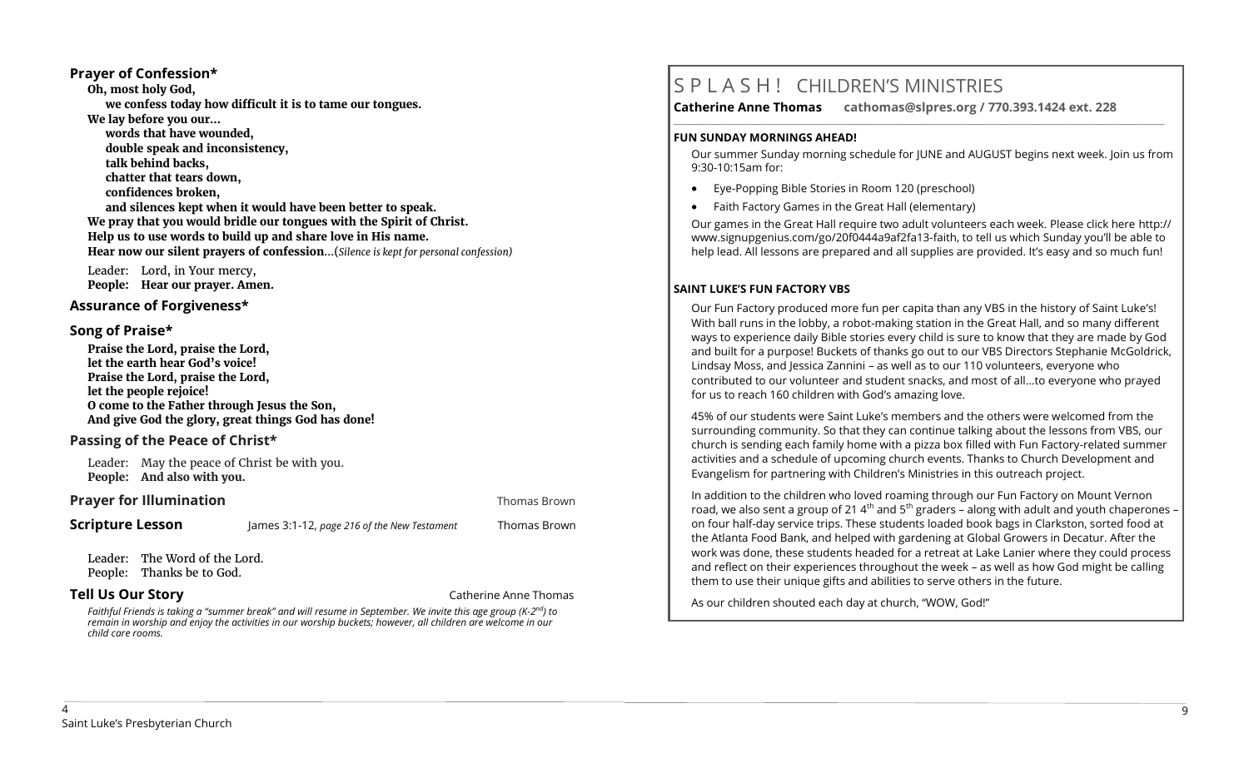# 4 Saint Luke's Presbyterian Church

# **Prayer for Illumination Thomas Brown Prayer for Illumination**

**Scripture Lesson** James 3:1-12, *page 216 of the New Testament* Thomas Brown

Leader: The Word of the Lord. People: Thanks be to God.

**Prayer of Confession\* Oh, most holy God,** 

**We lay before you our…** 

**talk behind backs, chatter that tears down, confidences broken,** 

**words that have wounded, double speak and inconsistency,** 

Leader: Lord, in Your mercy, **People: Hear our prayer. Amen.**

**Praise the Lord, praise the Lord, let the earth hear God's voice! Praise the Lord, praise the Lord,** 

**Passing of the Peace of Christ\*** 

**People: And also with you.**

**O come to the Father through Jesus the Son, And give God the glory, great things God has done!** 

Leader: May the peace of Christ be with you.

**Assurance of Forgiveness\*** 

**let the people rejoice!** 

**Song of Praise\*** 

**we confess today how difficult it is to tame our tongues.** 

**and silences kept when it would have been better to speak. We pray that you would bridle our tongues with the Spirit of Christ. Help us to use words to build up and share love in His name.** 

**Hear now our silent prayers of confession**...(*Silence is kept for personal confession)* 

**Tell Us Our Story Catherine Anne Thomas** 

*Faithful Friends is taking a "summer break" and will resume in September. We invite this age group (K-2 nd) to remain in worship and enjoy the activities in our worship buckets; however, all children are welcome in our child care rooms.*

# S P L A S H ! CHILDREN'S MINISTRIES

**Catherine Anne Thomas cathomas@slpres.org / 770.393.1424 ext. 228 \_\_\_\_\_\_\_\_\_\_\_\_\_\_\_\_\_\_\_\_\_\_\_\_\_\_\_\_\_\_\_\_\_\_\_\_\_\_\_\_\_\_\_\_\_\_\_\_\_\_\_\_\_\_\_\_\_\_\_\_\_\_\_\_\_\_\_\_\_\_\_\_\_\_\_\_\_\_\_\_\_\_\_\_\_\_\_\_\_\_\_\_\_\_\_\_\_\_\_\_\_\_\_\_\_\_\_** 

# **FUN SUNDAY MORNINGS AHEAD!**

Our summer Sunday morning schedule for JUNE and AUGUST begins next week. Join us from 9:30-10:15am for:

- Eye-Popping Bible Stories in Room 120 (preschool)
- Faith Factory Games in the Great Hall (elementary)

Our games in the Great Hall require two adult volunteers each week. Please click here [http://](http://www.signupgenius.com/go/20f0444a9af2fa13-faith) [www.signupgenius.com/go/20f0444a9af2fa13](http://www.signupgenius.com/go/20f0444a9af2fa13-faith)-faith, to tell us which Sunday you'll be able to help lead. All lessons are prepared and all supplies are provided. It's easy and so much fun!

# **SAINT LUKE'S FUN FACTORY VBS**

Our Fun Factory produced more fun per capita than any VBS in the history of Saint Luke's! With ball runs in the lobby, a robot-making station in the Great Hall, and so many different ways to experience daily Bible stories every child is sure to know that they are made by God and built for a purpose! Buckets of thanks go out to our VBS Directors Stephanie McGoldrick, Lindsay Moss, and Jessica Zannini – as well as to our 110 volunteers, everyone who contributed to our volunteer and student snacks, and most of all…to everyone who prayed for us to reach 160 children with God's amazing love.

45% of our students were Saint Luke's members and the others were welcomed from the surrounding community. So that they can continue talking about the lessons from VBS, our church is sending each family home with a pizza box filled with Fun Factory-related summer activities and a schedule of upcoming church events. Thanks to Church Development and Evangelism for partnering with Children's Ministries in this outreach project.

In addition to the children who loved roaming through our Fun Factory on Mount Vernon road, we also sent a group of 21  $4<sup>th</sup>$  and  $5<sup>th</sup>$  graders – along with adult and youth chaperones – on four half-day service trips. These students loaded book bags in Clarkston, sorted food at the Atlanta Food Bank, and helped with gardening at Global Growers in Decatur. After the work was done, these students headed for a retreat at Lake Lanier where they could process and reflect on their experiences throughout the week – as well as how God might be calling them to use their unique gifts and abilities to serve others in the future.

As our children shouted each day at church, "WOW, God!"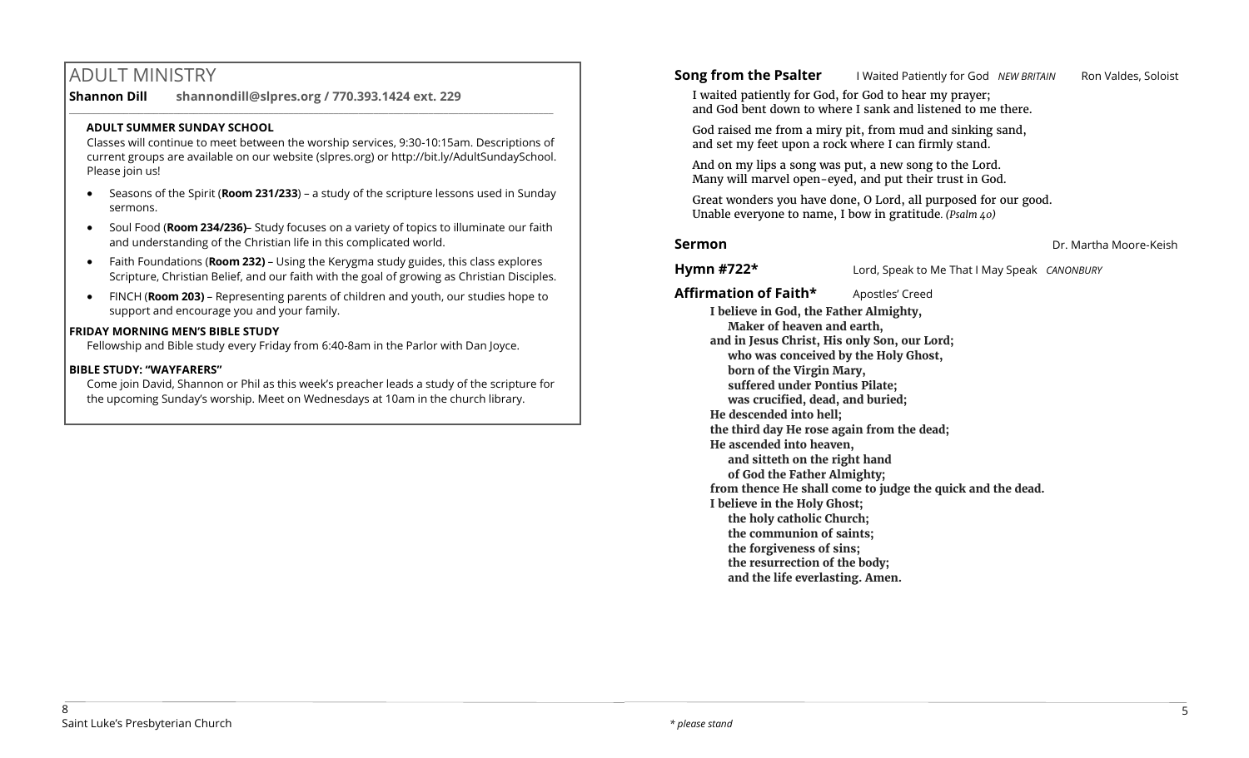# ADULT MINISTRY

**Shannon Dill shannondill@slpres.org / 770.393.1424 ext. 229**   $\_$  ,  $\_$  ,  $\_$  ,  $\_$  ,  $\_$  ,  $\_$  ,  $\_$  ,  $\_$  ,  $\_$  ,  $\_$  ,  $\_$  ,  $\_$  ,  $\_$  ,  $\_$  ,  $\_$  ,  $\_$  ,  $\_$  ,  $\_$  ,  $\_$ 

# **ADULT SUMMER SUNDAY SCHOOL**

Classes will continue to meet between the worship services, 9:30-10:15am. Descriptions of current groups are available on our website (slpres.org) or http://bit.ly/AdultSundaySchool. Please join us!

- Seasons of the Spirit (**Room 231/233**) a study of the scripture lessons used in Sunday sermons.
- Soul Food (**Room 234/236)** Study focuses on a variety of topics to illuminate our faith and understanding of the Christian life in this complicated world.
- Faith Foundations (**Room 232)**  Using the Kerygma study guides, this class explores Scripture, Christian Belief, and our faith with the goal of growing as Christian Disciples.
- FINCH (**Room 203)** Representing parents of children and youth, our studies hope to support and encourage you and your family.

# **FRIDAY MORNING MEN'S BIBLE STUDY**

Fellowship and Bible study every Friday from 6:40-8am in the Parlor with Dan Joyce.

# **BIBLE STUDY: "WAYFARERS"**

Come join David, Shannon or Phil as this week's preacher leads a study of the scripture for the upcoming Sunday's worship. Meet on Wednesdays at 10am in the church library.

**Song from the Psalter I Waited Patiently for God** *NEW BRITAIN* Ron Valdes, Soloist

I waited patiently for God, for God to hear my prayer; and God bent down to where I sank and listened to me there.

God raised me from a miry pit, from mud and sinking sand, and set my feet upon a rock where I can firmly stand.

And on my lips a song was put, a new song to the Lord. Many will marvel open-eyed, and put their trust in God.

Great wonders you have done, O Lord, all purposed for our good. Unable everyone to name, I bow in gratitude*. (Psalm 40)* 

# **Sermon** Dr. Martha Moore-Keish

**Hymn #722\*** Lord, Speak to Me That I May Speak *CANONBURY*

Affirmation of Faith\* Apostles' Creed **I believe in God, the Father Almighty, Maker of heaven and earth, and in Jesus Christ, His only Son, our Lord; who was conceived by the Holy Ghost, born of the Virgin Mary, suffered under Pontius Pilate; was crucified, dead, and buried; He descended into hell; the third day He rose again from the dead; He ascended into heaven, and sitteth on the right hand of God the Father Almighty; from thence He shall come to judge the quick and the dead. I believe in the Holy Ghost; the holy catholic Church; the communion of saints; the forgiveness of sins; the resurrection of the body; and the life everlasting. Amen.**